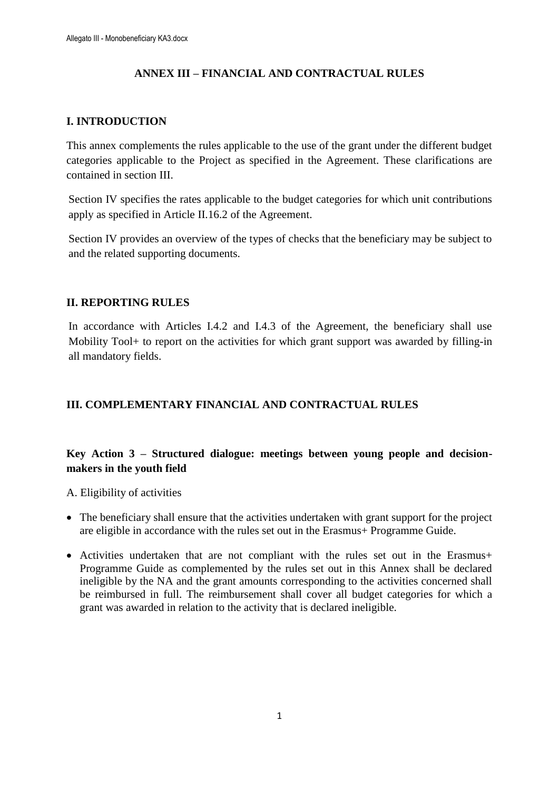# **ANNEX III – FINANCIAL AND CONTRACTUAL RULES**

### **I. INTRODUCTION**

This annex complements the rules applicable to the use of the grant under the different budget categories applicable to the Project as specified in the Agreement. These clarifications are contained in section III.

Section IV specifies the rates applicable to the budget categories for which unit contributions apply as specified in Article II.16.2 of the Agreement.

Section IV provides an overview of the types of checks that the beneficiary may be subject to and the related supporting documents.

### **II. REPORTING RULES**

In accordance with Articles I.4.2 and I.4.3 of the Agreement, the beneficiary shall use Mobility Tool+ to report on the activities for which grant support was awarded by filling-in all mandatory fields.

### **III. COMPLEMENTARY FINANCIAL AND CONTRACTUAL RULES**

# **Key Action 3 – Structured dialogue: meetings between young people and decisionmakers in the youth field**

A. Eligibility of activities

- The beneficiary shall ensure that the activities undertaken with grant support for the project are eligible in accordance with the rules set out in the Erasmus+ Programme Guide.
- Activities undertaken that are not compliant with the rules set out in the Erasmus+ Programme Guide as complemented by the rules set out in this Annex shall be declared ineligible by the NA and the grant amounts corresponding to the activities concerned shall be reimbursed in full. The reimbursement shall cover all budget categories for which a grant was awarded in relation to the activity that is declared ineligible.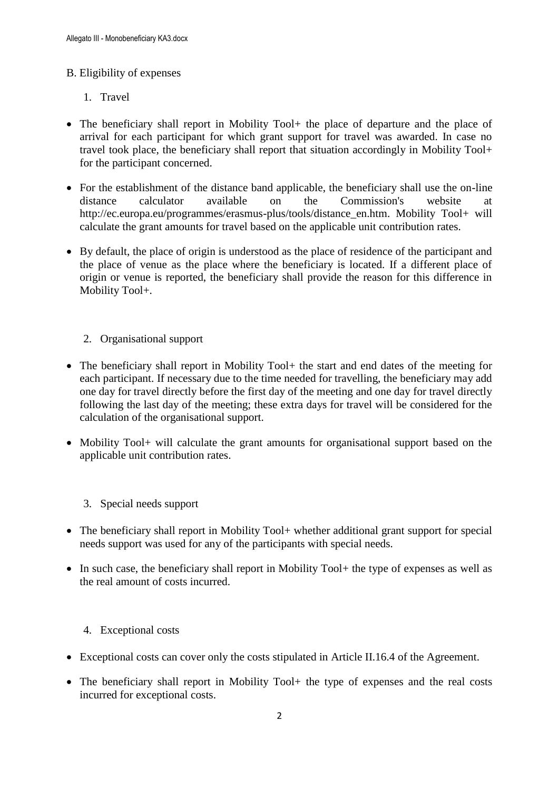### B. Eligibility of expenses

- 1. Travel
- The beneficiary shall report in Mobility Tool+ the place of departure and the place of arrival for each participant for which grant support for travel was awarded. In case no travel took place, the beneficiary shall report that situation accordingly in Mobility Tool+ for the participant concerned.
- For the establishment of the distance band applicable, the beneficiary shall use the on-line distance calculator available on the Commission's website at http://ec.europa.eu/programmes/erasmus-plus/tools/distance\_en.htm. Mobility Tool+ will calculate the grant amounts for travel based on the applicable unit contribution rates.
- By default, the place of origin is understood as the place of residence of the participant and the place of venue as the place where the beneficiary is located. If a different place of origin or venue is reported, the beneficiary shall provide the reason for this difference in Mobility Tool+.

### 2. Organisational support

- The beneficiary shall report in Mobility Tool + the start and end dates of the meeting for each participant. If necessary due to the time needed for travelling, the beneficiary may add one day for travel directly before the first day of the meeting and one day for travel directly following the last day of the meeting; these extra days for travel will be considered for the calculation of the organisational support.
- Mobility Tool+ will calculate the grant amounts for organisational support based on the applicable unit contribution rates.
	- 3. Special needs support
- The beneficiary shall report in Mobility Tool + whether additional grant support for special needs support was used for any of the participants with special needs.
- In such case, the beneficiary shall report in Mobility Tool + the type of expenses as well as the real amount of costs incurred.
	- 4. Exceptional costs
- Exceptional costs can cover only the costs stipulated in Article II.16.4 of the Agreement.
- The beneficiary shall report in Mobility Tool+ the type of expenses and the real costs incurred for exceptional costs.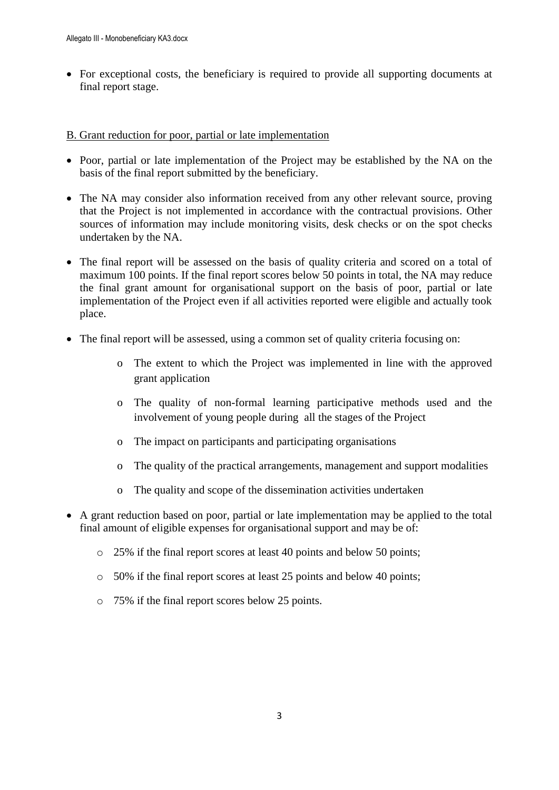For exceptional costs, the beneficiary is required to provide all supporting documents at final report stage.

#### B. Grant reduction for poor, partial or late implementation

- Poor, partial or late implementation of the Project may be established by the NA on the basis of the final report submitted by the beneficiary.
- The NA may consider also information received from any other relevant source, proving that the Project is not implemented in accordance with the contractual provisions. Other sources of information may include monitoring visits, desk checks or on the spot checks undertaken by the NA.
- The final report will be assessed on the basis of quality criteria and scored on a total of maximum 100 points. If the final report scores below 50 points in total, the NA may reduce the final grant amount for organisational support on the basis of poor, partial or late implementation of the Project even if all activities reported were eligible and actually took place.
- The final report will be assessed, using a common set of quality criteria focusing on:
	- o The extent to which the Project was implemented in line with the approved grant application
	- o The quality of non-formal learning participative methods used and the involvement of young people during all the stages of the Project
	- o The impact on participants and participating organisations
	- o The quality of the practical arrangements, management and support modalities
	- o The quality and scope of the dissemination activities undertaken
- A grant reduction based on poor, partial or late implementation may be applied to the total final amount of eligible expenses for organisational support and may be of:
	- o 25% if the final report scores at least 40 points and below 50 points;
	- o 50% if the final report scores at least 25 points and below 40 points;
	- o 75% if the final report scores below 25 points.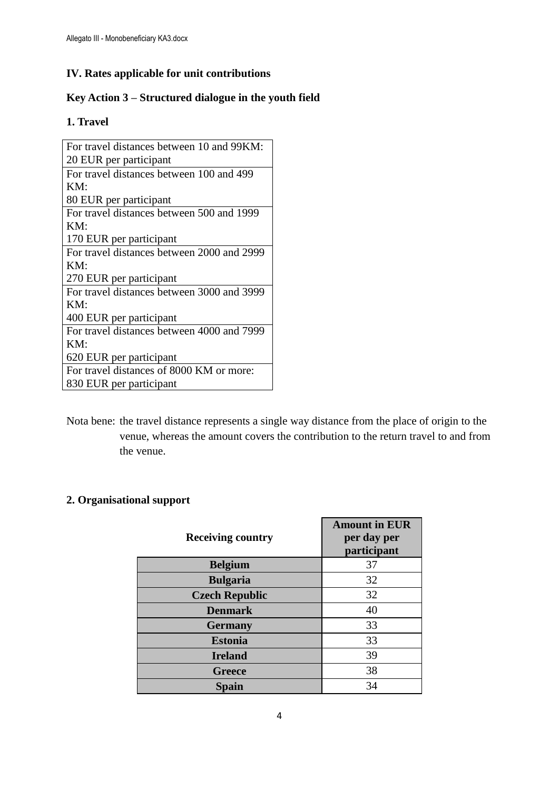# **IV. Rates applicable for unit contributions**

# **Key Action 3 – Structured dialogue in the youth field**

# **1. Travel**

| For travel distances between 10 and 99KM:  |
|--------------------------------------------|
| 20 EUR per participant                     |
| For travel distances between 100 and 499   |
| KM:                                        |
| 80 EUR per participant                     |
| For travel distances between 500 and 1999  |
| KM:                                        |
| 170 EUR per participant                    |
| For travel distances between 2000 and 2999 |
| KM:                                        |
| 270 EUR per participant                    |
| For travel distances between 3000 and 3999 |
| KM:                                        |
| 400 EUR per participant                    |
| For travel distances between 4000 and 7999 |
| KM:                                        |
| 620 EUR per participant                    |
| For travel distances of 8000 KM or more:   |
| 830 EUR per participant                    |

Nota bene: the travel distance represents a single way distance from the place of origin to the venue, whereas the amount covers the contribution to the return travel to and from the venue.

# **2. Organisational support**

| <b>Receiving country</b> | <b>Amount in EUR</b><br>per day per<br>participant |
|--------------------------|----------------------------------------------------|
| <b>Belgium</b>           | 37                                                 |
| <b>Bulgaria</b>          | 32                                                 |
| <b>Czech Republic</b>    | 32                                                 |
| <b>Denmark</b>           | 40                                                 |
| <b>Germany</b>           | 33                                                 |
| <b>Estonia</b>           | 33                                                 |
| <b>Ireland</b>           | 39                                                 |
| <b>Greece</b>            | 38                                                 |
| Spain                    | 34                                                 |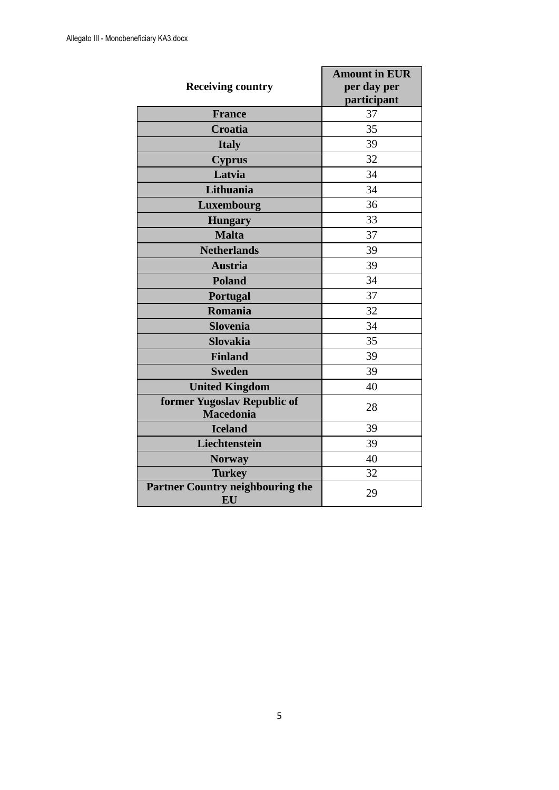|                                                 | <b>Amount in EUR</b> |  |
|-------------------------------------------------|----------------------|--|
| <b>Receiving country</b>                        | per day per          |  |
|                                                 | participant          |  |
| <b>France</b>                                   | 37                   |  |
| Croatia                                         | 35                   |  |
| <b>Italy</b>                                    | 39                   |  |
| <b>Cyprus</b>                                   | 32                   |  |
| Latvia                                          | 34                   |  |
| Lithuania                                       | 34                   |  |
| Luxembourg                                      | 36                   |  |
| <b>Hungary</b>                                  | 33                   |  |
| <b>Malta</b>                                    | 37                   |  |
| <b>Netherlands</b>                              | 39                   |  |
| <b>Austria</b>                                  | 39                   |  |
| <b>Poland</b>                                   | 34                   |  |
| Portugal                                        | 37                   |  |
| Romania                                         | 32                   |  |
| <b>Slovenia</b>                                 | 34                   |  |
| <b>Slovakia</b>                                 | 35                   |  |
| <b>Finland</b>                                  | 39                   |  |
| <b>Sweden</b>                                   | 39                   |  |
| <b>United Kingdom</b>                           | 40                   |  |
| former Yugoslav Republic of<br><b>Macedonia</b> | 28                   |  |
| <b>Iceland</b>                                  | 39                   |  |
| Liechtenstein                                   | 39                   |  |
| <b>Norway</b>                                   | 40                   |  |
| <b>Turkey</b>                                   | 32                   |  |
| <b>Partner Country neighbouring the</b><br>EU   | 29                   |  |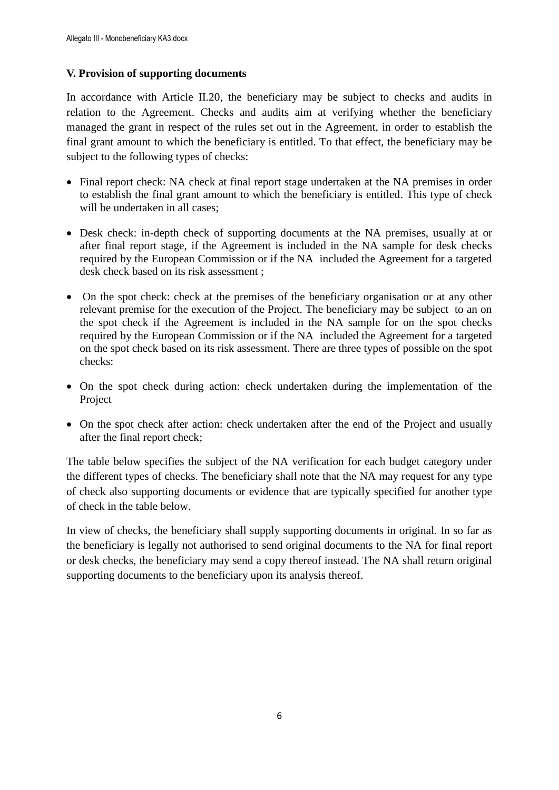### **V. Provision of supporting documents**

In accordance with Article II.20, the beneficiary may be subject to checks and audits in relation to the Agreement. Checks and audits aim at verifying whether the beneficiary managed the grant in respect of the rules set out in the Agreement, in order to establish the final grant amount to which the beneficiary is entitled. To that effect, the beneficiary may be subject to the following types of checks:

- Final report check: NA check at final report stage undertaken at the NA premises in order to establish the final grant amount to which the beneficiary is entitled. This type of check will be undertaken in all cases;
- Desk check: in-depth check of supporting documents at the NA premises, usually at or after final report stage, if the Agreement is included in the NA sample for desk checks required by the European Commission or if the NA included the Agreement for a targeted desk check based on its risk assessment ;
- On the spot check: check at the premises of the beneficiary organisation or at any other relevant premise for the execution of the Project. The beneficiary may be subject to an on the spot check if the Agreement is included in the NA sample for on the spot checks required by the European Commission or if the NA included the Agreement for a targeted on the spot check based on its risk assessment. There are three types of possible on the spot checks:
- On the spot check during action: check undertaken during the implementation of the Project
- On the spot check after action: check undertaken after the end of the Project and usually after the final report check;

The table below specifies the subject of the NA verification for each budget category under the different types of checks. The beneficiary shall note that the NA may request for any type of check also supporting documents or evidence that are typically specified for another type of check in the table below.

In view of checks, the beneficiary shall supply supporting documents in original. In so far as the beneficiary is legally not authorised to send original documents to the NA for final report or desk checks, the beneficiary may send a copy thereof instead. The NA shall return original supporting documents to the beneficiary upon its analysis thereof.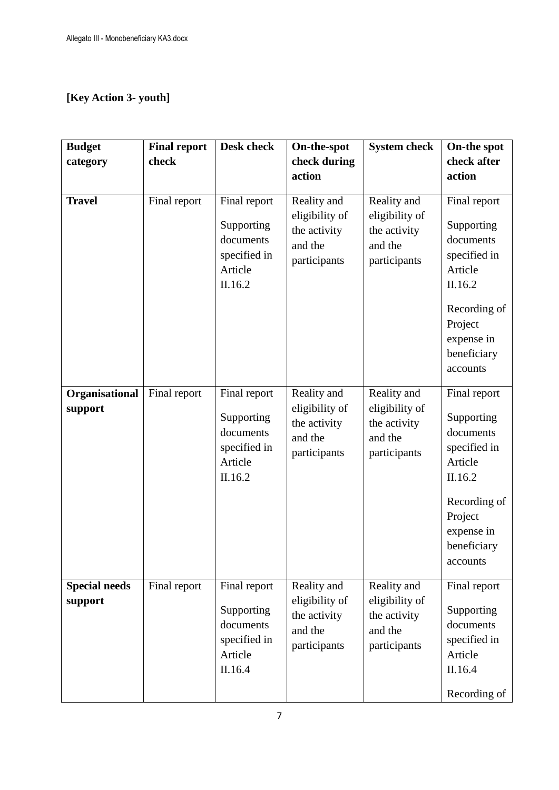# **[Key Action 3- youth]**

| <b>Budget</b>                   | <b>Final report</b> | <b>Desk check</b>                                                             | On-the-spot                                                              | <b>System check</b>                                                      | On-the spot                                                                                                                                       |
|---------------------------------|---------------------|-------------------------------------------------------------------------------|--------------------------------------------------------------------------|--------------------------------------------------------------------------|---------------------------------------------------------------------------------------------------------------------------------------------------|
| category                        | check               |                                                                               | check during<br>action                                                   |                                                                          | check after<br>action                                                                                                                             |
| <b>Travel</b>                   | Final report        | Final report<br>Supporting<br>documents<br>specified in<br>Article<br>II.16.2 | Reality and<br>eligibility of<br>the activity<br>and the<br>participants | Reality and<br>eligibility of<br>the activity<br>and the<br>participants | Final report<br>Supporting<br>documents<br>specified in<br>Article<br>II.16.2<br>Recording of<br>Project<br>expense in<br>beneficiary<br>accounts |
| Organisational<br>support       | Final report        | Final report<br>Supporting<br>documents<br>specified in<br>Article<br>II.16.2 | Reality and<br>eligibility of<br>the activity<br>and the<br>participants | Reality and<br>eligibility of<br>the activity<br>and the<br>participants | Final report<br>Supporting<br>documents<br>specified in<br>Article<br>II.16.2<br>Recording of<br>Project<br>expense in<br>beneficiary<br>accounts |
| <b>Special needs</b><br>support | Final report        | Final report<br>Supporting<br>documents<br>specified in<br>Article<br>II.16.4 | Reality and<br>eligibility of<br>the activity<br>and the<br>participants | Reality and<br>eligibility of<br>the activity<br>and the<br>participants | Final report<br>Supporting<br>documents<br>specified in<br>Article<br>II.16.4<br>Recording of                                                     |